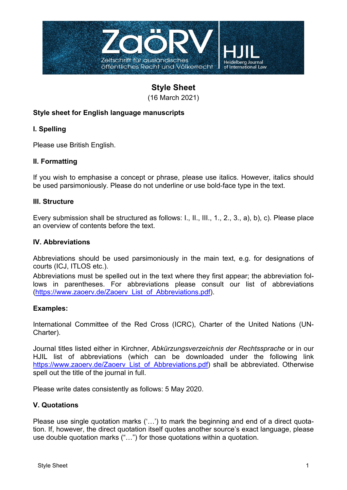

# **Style Sheet**

(16 March 2021)

# **Style sheet for English language manuscripts**

# **I. Spelling**

Please use British English.

## **II. Formatting**

If you wish to emphasise a concept or phrase, please use italics. However, italics should be used parsimoniously. Please do not underline or use bold-face type in the text.

#### **III. Structure**

Every submission shall be structured as follows: I., II., III., 1., 2., 3., a), b), c). Please place an overview of contents before the text.

## **IV. Abbreviations**

Abbreviations should be used parsimoniously in the main text, e.g. for designations of courts (ICJ, ITLOS etc.).

Abbreviations must be spelled out in the text where they first appear; the abbreviation follows in parentheses. For abbreviations please consult our list of abbreviations (https://www.zaoerv.de/Zaoerv\_List\_of\_Abbreviations.pdf).

#### **Examples:**

International Committee of the Red Cross (ICRC), Charter of the United Nations (UN-Charter).

Journal titles listed either in Kirchner, *Abkürzungsverzeichnis der Rechtssprache* or in our HJIL list of abbreviations (which can be downloaded under the following link https://www.zaoerv.de/Zaoerv\_List\_of\_Abbreviations.pdf) shall be abbreviated. Otherwise spell out the title of the journal in full.

Please write dates consistently as follows: 5 May 2020.

## **V. Quotations**

Please use single quotation marks ('…') to mark the beginning and end of a direct quotation. If, however, the direct quotation itself quotes another source's exact language, please use double quotation marks ("…") for those quotations within a quotation.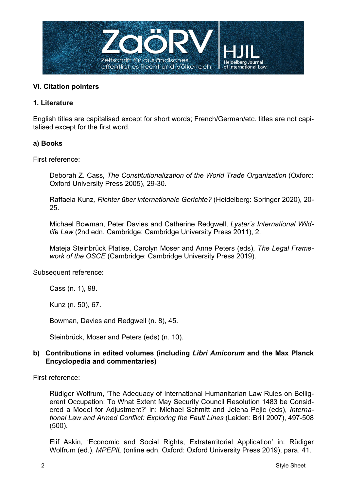

## **VI. Citation pointers**

## **1. Literature**

English titles are capitalised except for short words; French/German/etc. titles are not capitalised except for the first word.

## **a) Books**

First reference:

Deborah Z. Cass, *The Constitutionalization of the World Trade Organization* (Oxford: Oxford University Press 2005), 29-30.

Raffaela Kunz*, Richter über internationale Gerichte?* (Heidelberg: Springer 2020), 20- 25.

Michael Bowman, Peter Davies and Catherine Redgwell, *Lyster's International Wildlife Law* (2nd edn, Cambridge: Cambridge University Press 2011), 2.

Mateja Steinbrück Platise, Carolyn Moser and Anne Peters (eds), *The Legal Framework of the OSCE* (Cambridge: Cambridge University Press 2019).

Subsequent reference:

Cass (n. 1), 98.

Kunz (n. 50), 67.

Bowman, Davies and Redgwell (n. 8), 45.

Steinbrück, Moser and Peters (eds) (n. 10).

## **b) Contributions in edited volumes (including** *Libri Amicorum* **and the Max Planck Encyclopedia and commentaries)**

First reference:

Rüdiger Wolfrum, 'The Adequacy of International Humanitarian Law Rules on Belligerent Occupation: To What Extent May Security Council Resolution 1483 be Considered a Model for Adjustment?' in: Michael Schmitt and Jelena Pejic (eds), *International Law and Armed Conflict: Exploring the Fault Lines* (Leiden: Brill 2007), 497-508 (500).

Elif Askin, 'Economic and Social Rights, Extraterritorial Application' in: Rüdiger Wolfrum (ed.), *MPEPIL* (online edn, Oxford: Oxford University Press 2019), para. 41.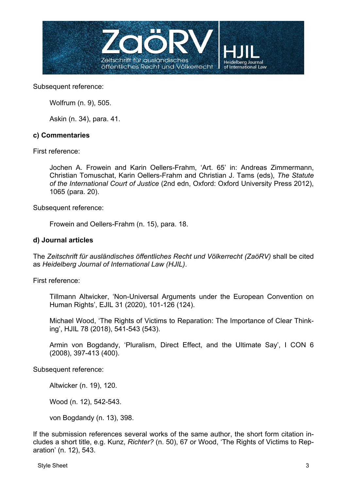

Wolfrum (n. 9), 505.

Askin (n. 34), para. 41.

#### **c) Commentaries**

First reference:

Jochen A. Frowein and Karin Oellers-Frahm, 'Art. 65' in: Andreas Zimmermann, Christian Tomuschat, Karin Oellers-Frahm and Christian J. Tams (eds), *The Statute of the International Court of Justice* (2nd edn, Oxford: Oxford University Press 2012), 1065 (para. 20).

Subsequent reference:

Frowein and Oellers-Frahm (n. 15), para. 18.

#### **d) Journal articles**

The *Zeitschrift für ausländisches öffentliches Recht und Völkerrecht (ZaöRV)* shall be cited as *Heidelberg Journal of International Law (HJIL)*.

First reference:

Tillmann Altwicker, 'Non-Universal Arguments under the European Convention on Human Rights', EJIL 31 (2020), 101-126 (124).

Michael Wood, 'The Rights of Victims to Reparation: The Importance of Clear Thinking', HJIL 78 (2018), 541-543 (543).

Armin von Bogdandy, 'Pluralism, Direct Effect, and the Ultimate Say', I CON 6 (2008), 397-413 (400).

Subsequent reference:

Altwicker (n. 19), 120.

Wood (n. 12), 542-543.

von Bogdandy (n. 13), 398.

If the submission references several works of the same author, the short form citation includes a short title, e.g. Kunz, *Richter?* (n. 50), 67 or Wood, 'The Rights of Victims to Reparation' (n. 12), 543.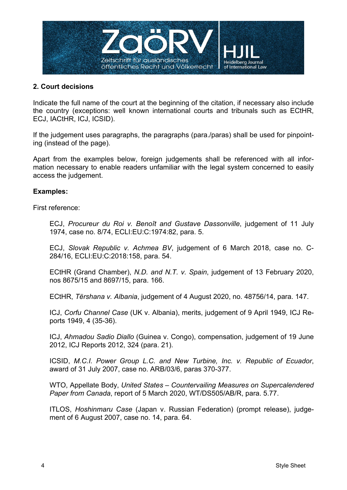

## **2. Court decisions**

Indicate the full name of the court at the beginning of the citation, if necessary also include the country (exceptions: well known international courts and tribunals such as ECtHR, ECJ, IACtHR, ICJ, ICSID).

If the judgement uses paragraphs, the paragraphs (para./paras) shall be used for pinpointing (instead of the page).

Apart from the examples below, foreign judgements shall be referenced with all information necessary to enable readers unfamiliar with the legal system concerned to easily access the judgement.

#### **Examples:**

First reference:

ECJ, *Procureur du Roi v. Benoît and Gustave Dassonville*, judgement of 11 July 1974, case no. 8/74, ECLI:EU:C:1974:82, para. 5.

ECJ, *Slovak Republic v. Achmea BV*, judgement of 6 March 2018, case no. C-284/16, ECLI:EU:C:2018:158, para. 54.

ECtHR (Grand Chamber), *N.D. and N.T. v. Spain*, judgement of 13 February 2020, nos 8675/15 and 8697/15, para. 166.

ECtHR, *Tërshana v. Albania*, judgement of 4 August 2020, no. 48756/14, para. 147.

ICJ, *Corfu Channel Case* (UK v. Albania), merits, judgement of 9 April 1949, ICJ Reports 1949, 4 (35-36).

ICJ, *Ahmadou Sadio Diallo* (Guinea v. Congo), compensation, judgement of 19 June 2012, ICJ Reports 2012, 324 (para. 21).

ICSID, *M.C.I. Power Group L.C. and New Turbine, Inc. v. Republic of Ecuador*, award of 31 July 2007, case no. ARB/03/6, paras 370-377.

WTO, Appellate Body, *United States – Countervailing Measures on Supercalendered Paper from Canada*, report of 5 March 2020, WT/DS505/AB/R, para. 5.77.

ITLOS, *Hoshinmaru Case* (Japan v. Russian Federation) (prompt release), judgement of 6 August 2007, case no. 14, para. 64.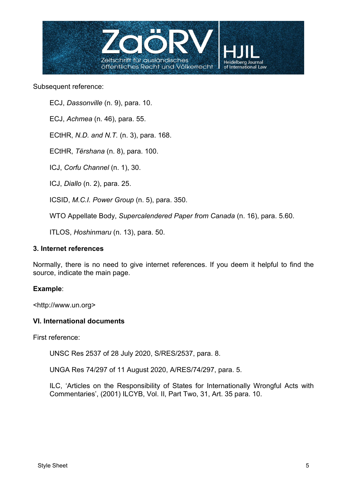

ECJ, *Dassonville* (n. 9), para. 10.

ECJ, *Achmea* (n. 46), para. 55.

ECtHR, *N.D. and N.T.* (n. 3), para. 168.

ECtHR, *Tërshana* (n. 8), para. 100.

ICJ, *Corfu Channel* (n. 1), 30.

ICJ, *Diallo* (n. 2), para. 25.

ICSID, *M.C.I. Power Group* (n. 5), para. 350.

WTO Appellate Body, *Supercalendered Paper from Canada* (n. 16), para. 5.60.

ITLOS, *Hoshinmaru* (n. 13), para. 50.

#### **3. Internet references**

Normally, there is no need to give internet references. If you deem it helpful to find the source, indicate the main page.

#### **Example**:

<http://www.un.org>

## **VI. International documents**

First reference:

UNSC Res 2537 of 28 July 2020, S/RES/2537, para. 8.

UNGA Res 74/297 of 11 August 2020, A/RES/74/297, para. 5.

ILC, 'Articles on the Responsibility of States for Internationally Wrongful Acts with Commentaries', (2001) ILCYB, Vol. II, Part Two, 31, Art. 35 para. 10.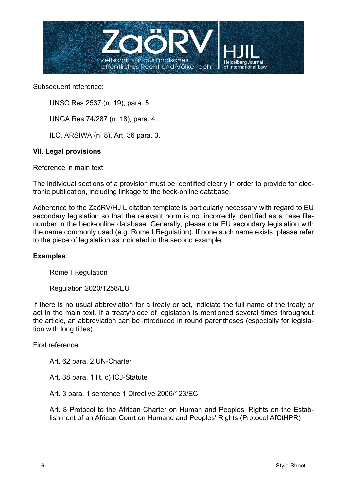

UNSC Res 2537 (n. 19), para. 5.

UNGA Res 74/287 (n. 18), para. 4.

ILC, ARSIWA (n. 8), Art. 36 para. 3.

## **VII. Legal provisions**

Reference in main text:

The individual sections of a provision must be identified clearly in order to provide for electronic publication, including linkage to the beck-online database.

Adherence to the ZaöRV/HJIL citation template is particularly necessary with regard to EU secondary legislation so that the relevant norm is not incorrectly identified as a case filenumber in the beck-online database. Generally, please cite EU secondary legislation with the name commonly used (e.g. Rome I Regulation). If none such name exists, please refer to the piece of legislation as indicated in the second example:

## **Examples**:

Rome I Regulation

Regulation 2020/1258/EU

If there is no usual abbreviation for a treaty or act, indiciate the full name of the treaty or act in the main text. If a treaty/piece of legislation is mentioned several times throughout the article, an abbreviation can be introduced in round parentheses (especially for legislation with long titles).

First reference:

Art. 62 para. 2 UN-Charter

Art. 38 para. 1 lit. c) ICJ-Statute

Art. 3 para. 1 sentence 1 Directive 2006/123/EC

Art. 8 Protocol to the African Charter on Human and Peoples' Rights on the Establishment of an African Court on Humand and Peoples' Rights (Protocol AfCtHPR)